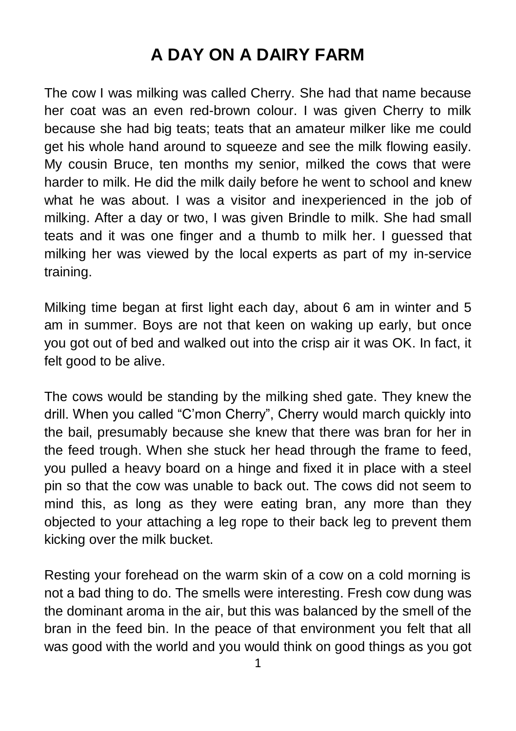## **A DAY ON A DAIRY FARM**

The cow I was milking was called Cherry. She had that name because her coat was an even red-brown colour. I was given Cherry to milk because she had big teats; teats that an amateur milker like me could get his whole hand around to squeeze and see the milk flowing easily. My cousin Bruce, ten months my senior, milked the cows that were harder to milk. He did the milk daily before he went to school and knew what he was about. I was a visitor and inexperienced in the job of milking. After a day or two, I was given Brindle to milk. She had small teats and it was one finger and a thumb to milk her. I guessed that milking her was viewed by the local experts as part of my in-service training.

Milking time began at first light each day, about 6 am in winter and 5 am in summer. Boys are not that keen on waking up early, but once you got out of bed and walked out into the crisp air it was OK. In fact, it felt good to be alive.

The cows would be standing by the milking shed gate. They knew the drill. When you called "C'mon Cherry", Cherry would march quickly into the bail, presumably because she knew that there was bran for her in the feed trough. When she stuck her head through the frame to feed, you pulled a heavy board on a hinge and fixed it in place with a steel pin so that the cow was unable to back out. The cows did not seem to mind this, as long as they were eating bran, any more than they objected to your attaching a leg rope to their back leg to prevent them kicking over the milk bucket.

Resting your forehead on the warm skin of a cow on a cold morning is not a bad thing to do. The smells were interesting. Fresh cow dung was the dominant aroma in the air, but this was balanced by the smell of the bran in the feed bin. In the peace of that environment you felt that all was good with the world and you would think on good things as you got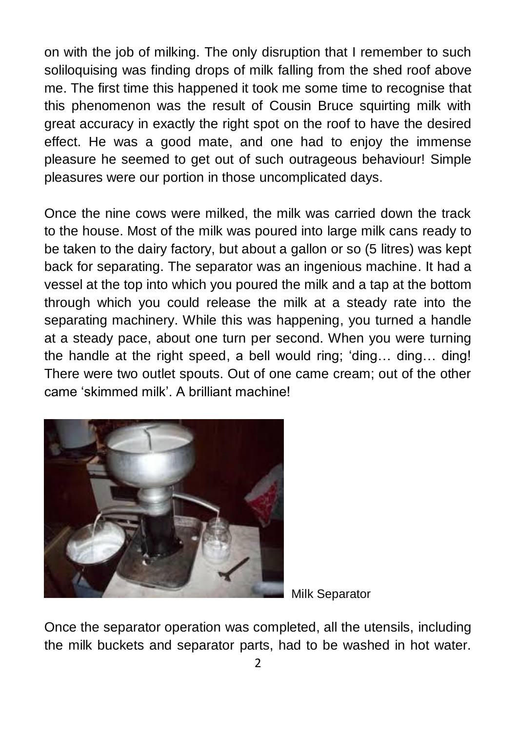on with the job of milking. The only disruption that I remember to such soliloquising was finding drops of milk falling from the shed roof above me. The first time this happened it took me some time to recognise that this phenomenon was the result of Cousin Bruce squirting milk with great accuracy in exactly the right spot on the roof to have the desired effect. He was a good mate, and one had to enjoy the immense pleasure he seemed to get out of such outrageous behaviour! Simple pleasures were our portion in those uncomplicated days.

Once the nine cows were milked, the milk was carried down the track to the house. Most of the milk was poured into large milk cans ready to be taken to the dairy factory, but about a gallon or so (5 litres) was kept back for separating. The separator was an ingenious machine. It had a vessel at the top into which you poured the milk and a tap at the bottom through which you could release the milk at a steady rate into the separating machinery. While this was happening, you turned a handle at a steady pace, about one turn per second. When you were turning the handle at the right speed, a bell would ring; 'ding… ding… ding! There were two outlet spouts. Out of one came cream; out of the other came 'skimmed milk'. A brilliant machine!



Milk Separator

Once the separator operation was completed, all the utensils, including the milk buckets and separator parts, had to be washed in hot water.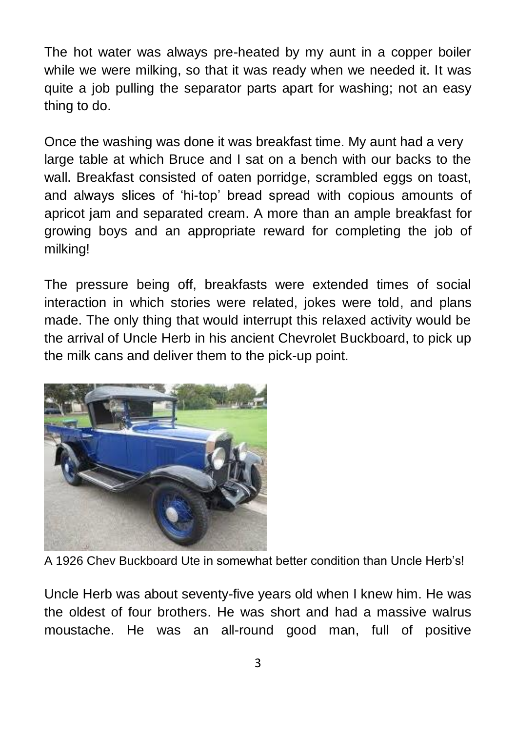The hot water was always pre-heated by my aunt in a copper boiler while we were milking, so that it was ready when we needed it. It was quite a job pulling the separator parts apart for washing; not an easy thing to do.

Once the washing was done it was breakfast time. My aunt had a very large table at which Bruce and I sat on a bench with our backs to the wall. Breakfast consisted of oaten porridge, scrambled eggs on toast, and always slices of 'hi-top' bread spread with copious amounts of apricot jam and separated cream. A more than an ample breakfast for growing boys and an appropriate reward for completing the job of milking!

The pressure being off, breakfasts were extended times of social interaction in which stories were related, jokes were told, and plans made. The only thing that would interrupt this relaxed activity would be the arrival of Uncle Herb in his ancient Chevrolet Buckboard, to pick up the milk cans and deliver them to the pick-up point.



A 1926 Chev Buckboard Ute in somewhat better condition than Uncle Herb's!

Uncle Herb was about seventy-five years old when I knew him. He was the oldest of four brothers. He was short and had a massive walrus moustache. He was an all-round good man, full of positive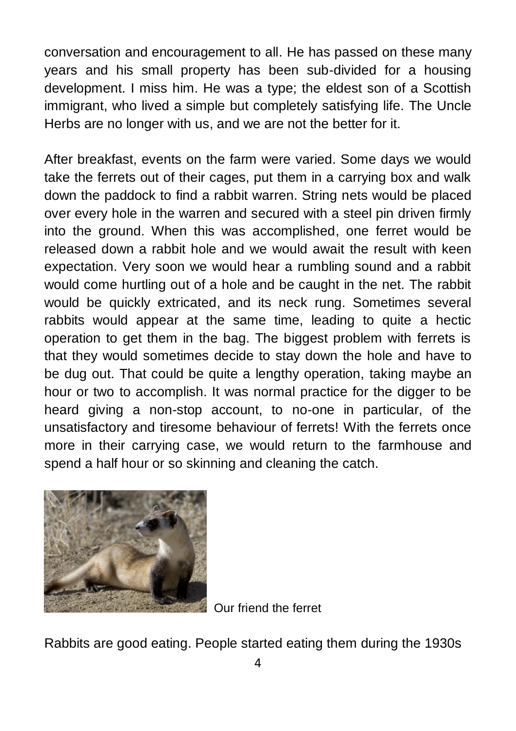conversation and encouragement to all. He has passed on these many years and his small property has been sub-divided for a housing development. I miss him. He was a type; the eldest son of a Scottish immigrant, who lived a simple but completely satisfying life. The Uncle Herbs are no longer with us, and we are not the better for it.

After breakfast, events on the farm were varied. Some days we would take the ferrets out of their cages, put them in a carrying box and walk down the paddock to find a rabbit warren. String nets would be placed over every hole in the warren and secured with a steel pin driven firmly into the ground. When this was accomplished, one ferret would be released down a rabbit hole and we would await the result with keen expectation. Very soon we would hear a rumbling sound and a rabbit would come hurtling out of a hole and be caught in the net. The rabbit would be quickly extricated, and its neck rung. Sometimes several rabbits would appear at the same time, leading to quite a hectic operation to get them in the bag. The biggest problem with ferrets is that they would sometimes decide to stay down the hole and have to be dug out. That could be quite a lengthy operation, taking maybe an hour or two to accomplish. It was normal practice for the digger to be heard giving a non-stop account, to no-one in particular, of the unsatisfactory and tiresome behaviour of ferrets! With the ferrets once more in their carrying case, we would return to the farmhouse and spend a half hour or so skinning and cleaning the catch.



Our friend the ferret

Rabbits are good eating. People started eating them during the 1930s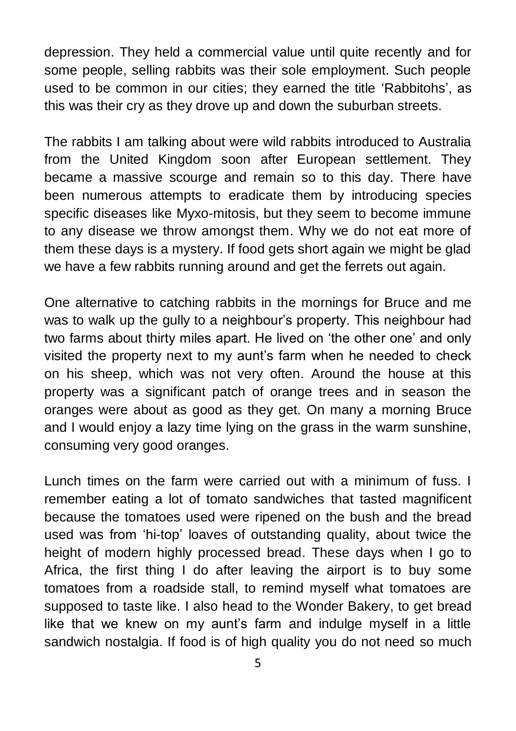depression. They held a commercial value until quite recently and for some people, selling rabbits was their sole employment. Such people used to be common in our cities; they earned the title 'Rabbitohs', as this was their cry as they drove up and down the suburban streets.

The rabbits I am talking about were wild rabbits introduced to Australia from the United Kingdom soon after European settlement. They became a massive scourge and remain so to this day. There have been numerous attempts to eradicate them by introducing species specific diseases like Myxo-mitosis, but they seem to become immune to any disease we throw amongst them. Why we do not eat more of them these days is a mystery. If food gets short again we might be glad we have a few rabbits running around and get the ferrets out again.

One alternative to catching rabbits in the mornings for Bruce and me was to walk up the gully to a neighbour's property. This neighbour had two farms about thirty miles apart. He lived on 'the other one' and only visited the property next to my aunt's farm when he needed to check on his sheep, which was not very often. Around the house at this property was a significant patch of orange trees and in season the oranges were about as good as they get. On many a morning Bruce and I would enjoy a lazy time lying on the grass in the warm sunshine, consuming very good oranges.

Lunch times on the farm were carried out with a minimum of fuss. I remember eating a lot of tomato sandwiches that tasted magnificent because the tomatoes used were ripened on the bush and the bread used was from 'hi-top' loaves of outstanding quality, about twice the height of modern highly processed bread. These days when I go to Africa, the first thing I do after leaving the airport is to buy some tomatoes from a roadside stall, to remind myself what tomatoes are supposed to taste like. I also head to the Wonder Bakery, to get bread like that we knew on my aunt's farm and indulge myself in a little sandwich nostalgia. If food is of high quality you do not need so much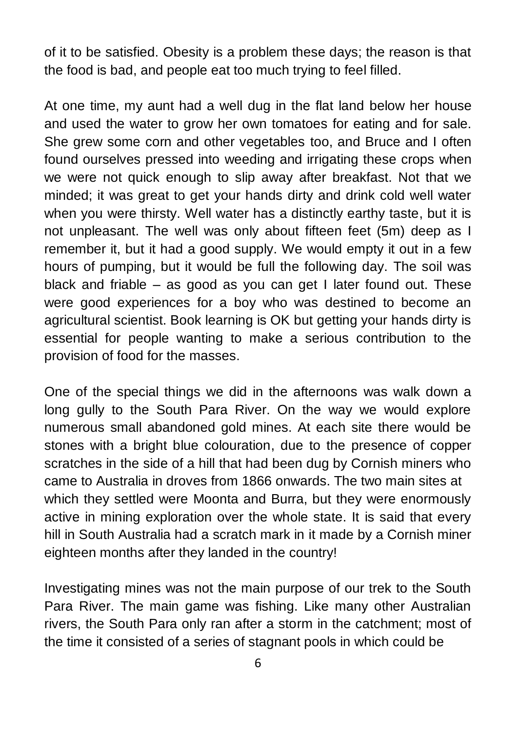of it to be satisfied. Obesity is a problem these days; the reason is that the food is bad, and people eat too much trying to feel filled.

At one time, my aunt had a well dug in the flat land below her house and used the water to grow her own tomatoes for eating and for sale. She grew some corn and other vegetables too, and Bruce and I often found ourselves pressed into weeding and irrigating these crops when we were not quick enough to slip away after breakfast. Not that we minded; it was great to get your hands dirty and drink cold well water when you were thirsty. Well water has a distinctly earthy taste, but it is not unpleasant. The well was only about fifteen feet (5m) deep as I remember it, but it had a good supply. We would empty it out in a few hours of pumping, but it would be full the following day. The soil was black and friable – as good as you can get I later found out. These were good experiences for a boy who was destined to become an agricultural scientist. Book learning is OK but getting your hands dirty is essential for people wanting to make a serious contribution to the provision of food for the masses.

One of the special things we did in the afternoons was walk down a long gully to the South Para River. On the way we would explore numerous small abandoned gold mines. At each site there would be stones with a bright blue colouration, due to the presence of copper scratches in the side of a hill that had been dug by Cornish miners who came to Australia in droves from 1866 onwards. The two main sites at which they settled were Moonta and Burra, but they were enormously active in mining exploration over the whole state. It is said that every hill in South Australia had a scratch mark in it made by a Cornish miner eighteen months after they landed in the country!

Investigating mines was not the main purpose of our trek to the South Para River. The main game was fishing. Like many other Australian rivers, the South Para only ran after a storm in the catchment; most of the time it consisted of a series of stagnant pools in which could be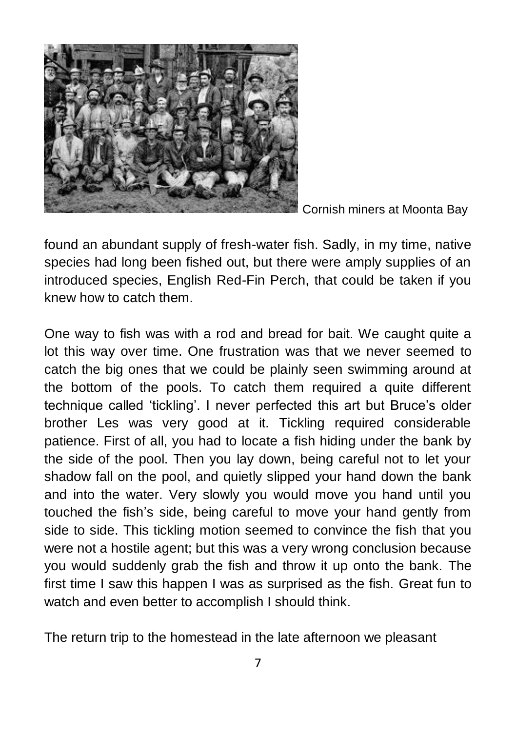

Cornish miners at Moonta Bay

found an abundant supply of fresh-water fish. Sadly, in my time, native species had long been fished out, but there were amply supplies of an introduced species, English Red-Fin Perch, that could be taken if you knew how to catch them.

One way to fish was with a rod and bread for bait. We caught quite a lot this way over time. One frustration was that we never seemed to catch the big ones that we could be plainly seen swimming around at the bottom of the pools. To catch them required a quite different technique called 'tickling'. I never perfected this art but Bruce's older brother Les was very good at it. Tickling required considerable patience. First of all, you had to locate a fish hiding under the bank by the side of the pool. Then you lay down, being careful not to let your shadow fall on the pool, and quietly slipped your hand down the bank and into the water. Very slowly you would move you hand until you touched the fish's side, being careful to move your hand gently from side to side. This tickling motion seemed to convince the fish that you were not a hostile agent; but this was a very wrong conclusion because you would suddenly grab the fish and throw it up onto the bank. The first time I saw this happen I was as surprised as the fish. Great fun to watch and even better to accomplish I should think.

The return trip to the homestead in the late afternoon we pleasant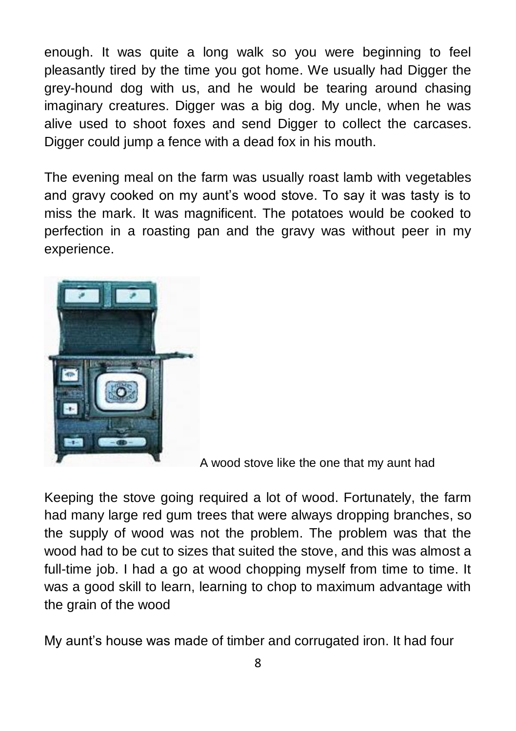enough. It was quite a long walk so you were beginning to feel pleasantly tired by the time you got home. We usually had Digger the grey-hound dog with us, and he would be tearing around chasing imaginary creatures. Digger was a big dog. My uncle, when he was alive used to shoot foxes and send Digger to collect the carcases. Digger could jump a fence with a dead fox in his mouth.

The evening meal on the farm was usually roast lamb with vegetables and gravy cooked on my aunt's wood stove. To say it was tasty is to miss the mark. It was magnificent. The potatoes would be cooked to perfection in a roasting pan and the gravy was without peer in my experience.



A wood stove like the one that my aunt had

Keeping the stove going required a lot of wood. Fortunately, the farm had many large red gum trees that were always dropping branches, so the supply of wood was not the problem. The problem was that the wood had to be cut to sizes that suited the stove, and this was almost a full-time job. I had a go at wood chopping myself from time to time. It was a good skill to learn, learning to chop to maximum advantage with the grain of the wood

My aunt's house was made of timber and corrugated iron. It had four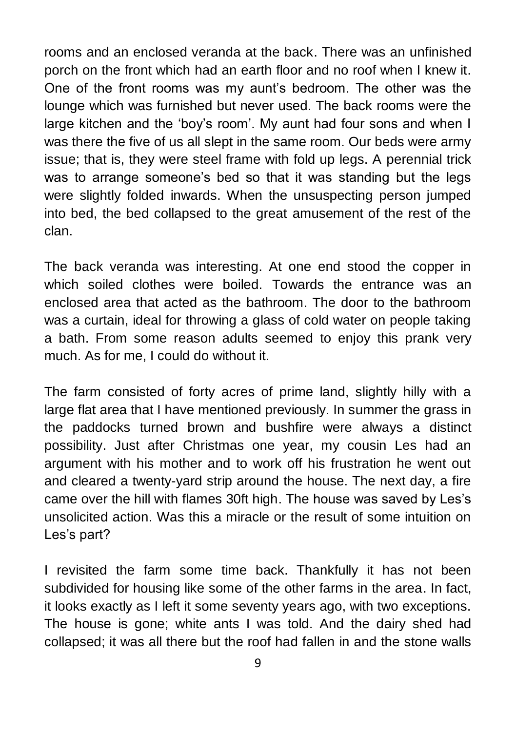rooms and an enclosed veranda at the back. There was an unfinished porch on the front which had an earth floor and no roof when I knew it. One of the front rooms was my aunt's bedroom. The other was the lounge which was furnished but never used. The back rooms were the large kitchen and the 'boy's room'. My aunt had four sons and when I was there the five of us all slept in the same room. Our beds were army issue; that is, they were steel frame with fold up legs. A perennial trick was to arrange someone's bed so that it was standing but the legs were slightly folded inwards. When the unsuspecting person jumped into bed, the bed collapsed to the great amusement of the rest of the clan.

The back veranda was interesting. At one end stood the copper in which soiled clothes were boiled. Towards the entrance was an enclosed area that acted as the bathroom. The door to the bathroom was a curtain, ideal for throwing a glass of cold water on people taking a bath. From some reason adults seemed to enjoy this prank very much. As for me, I could do without it.

The farm consisted of forty acres of prime land, slightly hilly with a large flat area that I have mentioned previously. In summer the grass in the paddocks turned brown and bushfire were always a distinct possibility. Just after Christmas one year, my cousin Les had an argument with his mother and to work off his frustration he went out and cleared a twenty-yard strip around the house. The next day, a fire came over the hill with flames 30ft high. The house was saved by Les's unsolicited action. Was this a miracle or the result of some intuition on Les's part?

I revisited the farm some time back. Thankfully it has not been subdivided for housing like some of the other farms in the area. In fact, it looks exactly as I left it some seventy years ago, with two exceptions. The house is gone; white ants I was told. And the dairy shed had collapsed; it was all there but the roof had fallen in and the stone walls